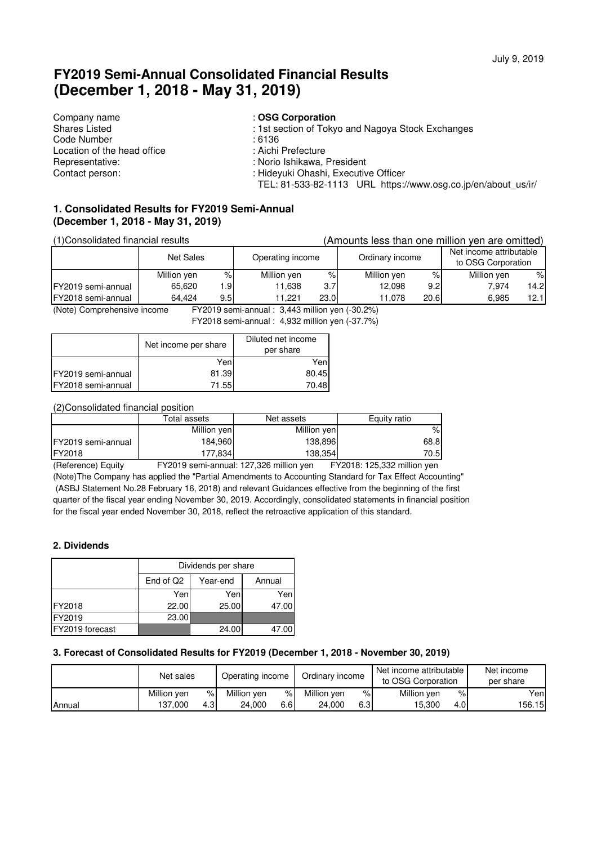6,985 12.1

# **FY2019 Semi-Annual Consolidated Financial Results (December 1, 2018 - May 31, 2019)**

| Company name                |
|-----------------------------|
| <b>Shares Listed</b>        |
| Code Number                 |
| Location of the head office |
| Representative:             |
| Contact person:             |

#### : OSG Corporation

: 1st section of Tokyo and Nagoya Stock Exchanges

- $: 6136$
- e the head of the head of the head of the head of the head of the head of the head of the head of the head of the head of the head of the head of the head of the head of the head of the head of the head of the head of the
	- : Norio Ishikawa, President
	- : Hideyuki Ohashi, Executive Officer
	- TEL: 81-533-82-1113 URL https://www.osg.co.jp/en/about\_us/ir/

20.6

## **1. Consolidated Results for FY2019 Semi-Annual (December 1, 2018 - May 31, 2019)**

| (1) Consolidated financial results |             | (Amounts less than one million yen are omitted) |             |                  |             |                                               |             |      |
|------------------------------------|-------------|-------------------------------------------------|-------------|------------------|-------------|-----------------------------------------------|-------------|------|
| Net Sales                          |             | Operating income                                |             | Ordinary income  |             | Net income attributable<br>to OSG Corporation |             |      |
|                                    | Million ven | $\%$                                            | Million yen | $\%$             | Million yen | $\%$                                          | Million yen | %    |
| FY2019 semi-annual                 | 65.620      | 1.9I                                            | 1.638       | 3.7 <sub>l</sub> | 12.098      | 9.2 <sub>l</sub>                              | 7.974       | 14.2 |

FY2018 semi-annual (Note) Comprehensive income FY2019 semi-annual : 3,443 million yen (-30.2%) 11,078 11,221 64,424 23.0 9.5

FY2018 semi-annual : 4,932 million yen (-37.7%)

|                    | Net income per share | Diluted net income<br>per share |
|--------------------|----------------------|---------------------------------|
|                    | Yenl                 | Yen                             |
| FY2019 semi-annual | 81.39                | 80.45                           |
| FY2018 semi-annual | 71.55                | 70.48                           |

(2)Consolidated financial position

|                    | Total assets | Net assets  | Equity ratio |
|--------------------|--------------|-------------|--------------|
|                    | Million yen  | Million yen | $\%$         |
| FY2019 semi-annual | 184,960      | 138,896     | 68.8         |
| <b>IFY2018</b>     | 177,834      | 138,354     | 70.5         |

(Reference) Equity FY2019 semi-annual: 127,326 million yen FY2018: 125,332 million yen

(Note)The Company has applied the "Partial Amendments to Accounting Standard for Tax Effect Accounting" (ASBJ Statement No.28 February 16, 2018) and relevant Guidances effective from the beginning of the first quarter of the fiscal year ending November 30, 2019. Accordingly, consolidated statements in financial position for the fiscal year ended November 30, 2018, reflect the retroactive application of this standard.

#### **2. Dividends**

|                 |                       | Dividends per share |        |  |  |  |  |
|-----------------|-----------------------|---------------------|--------|--|--|--|--|
|                 | End of Q <sub>2</sub> | Year-end            | Annual |  |  |  |  |
|                 | Yenl                  | Yen                 | Yenl   |  |  |  |  |
| FY2018          | 22.00                 | 25.00               | 47.00  |  |  |  |  |
| FY2019          | 23.00                 |                     |        |  |  |  |  |
| FY2019 forecast |                       | 24.00               | 47.00  |  |  |  |  |

#### **3. Forecast of Consolidated Results for FY2019 (December 1, 2018 - November 30, 2019)**

|               | Net sales   |                  | Operating income |      | Ordinary income |     | Net income attributable<br>to OSG Corporation |      | Net income<br>per share |
|---------------|-------------|------------------|------------------|------|-----------------|-----|-----------------------------------------------|------|-------------------------|
|               | Million ven | $\%$             | Million ven      | %۱   | Million ven     | %   | Million ven                                   | $\%$ | Yenl                    |
| <b>Annual</b> | 137.000     | 4.3 <sup>1</sup> | 24.000           | 6.6I | 24.000          | 6.3 | 15.300                                        | 4.0  | 156.15                  |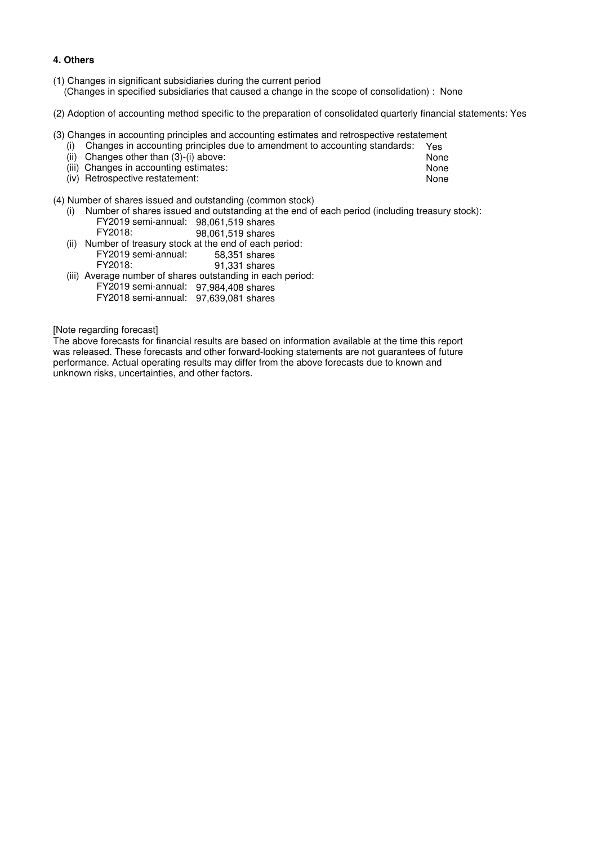#### **4. Others**

- (1) Changes in significant subsidiaries during the current period (Changes in specified subsidiaries that caused a change in the scope of consolidation) : None
- (2) Adoption of accounting method specific to the preparation of consolidated quarterly financial statements: Yes
- (3) Changes in accounting principles and accounting estimates and retrospective restatement
	- (i) Changes in accounting principles due to amendment to accounting standards: Yes
	- (ii) Changes other than (3)-(i) above: None (iii) Changes in accounting estimates: None
	- (iv) Retrospective restatement: None
- (4) Number of shares issued and outstanding (common stock)
	- (i) Number of shares issued and outstanding at the end of each period (including treasury stock): FY2019 semi-annual: 98,061,519 shares
	- FY2018: 98,061,519 shares (ii) Number of treasury stock at the end of each period:<br>FY2019 semi-annual: 58,351 shares
	- FY2019 semi-annual:<br>FY2018: 91,331 shares (iii) Average number of shares outstanding in each period:
		- FY2019 semi-annual: 97,984,408 shares FY2018 semi-annual: 97,639,081 shares

#### [Note regarding forecast]

The above forecasts for financial results are based on information available at the time this report was released. These forecasts and other forward-looking statements are not guarantees of future performance. Actual operating results may differ from the above forecasts due to known and unknown risks, uncertainties, and other factors.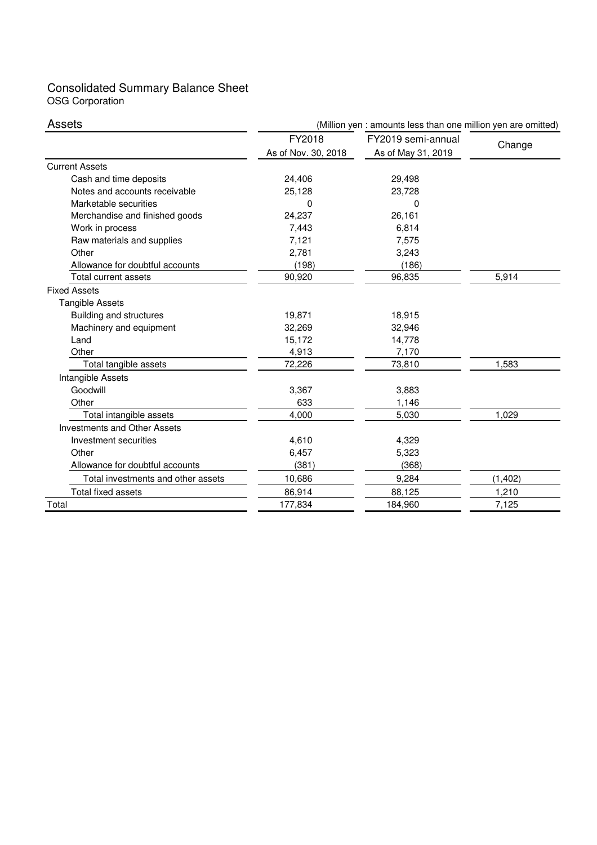#### Consolidated Summary Balance Sheet OSG Corporation

| Assets                              | (Million yen : amounts less than one million yen are omitted) |                    |          |  |  |  |
|-------------------------------------|---------------------------------------------------------------|--------------------|----------|--|--|--|
|                                     | FY2018                                                        | FY2019 semi-annual | Change   |  |  |  |
|                                     | As of Nov. 30, 2018                                           | As of May 31, 2019 |          |  |  |  |
| <b>Current Assets</b>               |                                                               |                    |          |  |  |  |
| Cash and time deposits              | 24,406                                                        | 29,498             |          |  |  |  |
| Notes and accounts receivable       | 25,128                                                        | 23,728             |          |  |  |  |
| Marketable securities               | 0                                                             | 0                  |          |  |  |  |
| Merchandise and finished goods      | 24,237                                                        | 26,161             |          |  |  |  |
| Work in process                     | 7,443                                                         | 6,814              |          |  |  |  |
| Raw materials and supplies          | 7,121                                                         | 7,575              |          |  |  |  |
| Other                               | 2,781                                                         | 3,243              |          |  |  |  |
| Allowance for doubtful accounts     | (198)                                                         | (186)              |          |  |  |  |
| Total current assets                | 90,920                                                        | 96,835             | 5,914    |  |  |  |
| <b>Fixed Assets</b>                 |                                                               |                    |          |  |  |  |
| <b>Tangible Assets</b>              |                                                               |                    |          |  |  |  |
| Building and structures             | 19,871                                                        | 18,915             |          |  |  |  |
| Machinery and equipment             | 32,269                                                        | 32,946             |          |  |  |  |
| Land                                | 15,172                                                        | 14,778             |          |  |  |  |
| Other                               | 4,913                                                         | 7,170              |          |  |  |  |
| Total tangible assets               | 72,226                                                        | 73,810             | 1,583    |  |  |  |
| Intangible Assets                   |                                                               |                    |          |  |  |  |
| Goodwill                            | 3,367                                                         | 3,883              |          |  |  |  |
| Other                               | 633                                                           | 1,146              |          |  |  |  |
| Total intangible assets             | 4,000                                                         | 5,030              | 1,029    |  |  |  |
| <b>Investments and Other Assets</b> |                                                               |                    |          |  |  |  |
| Investment securities               | 4,610                                                         | 4,329              |          |  |  |  |
| Other                               | 6,457                                                         | 5,323              |          |  |  |  |
| Allowance for doubtful accounts     | (381)                                                         | (368)              |          |  |  |  |
| Total investments and other assets  | 10,686                                                        | 9,284              | (1, 402) |  |  |  |
| Total fixed assets                  | 86,914                                                        | 88,125             | 1,210    |  |  |  |
| Total                               | 177,834                                                       | 184,960            | 7,125    |  |  |  |
|                                     |                                                               |                    |          |  |  |  |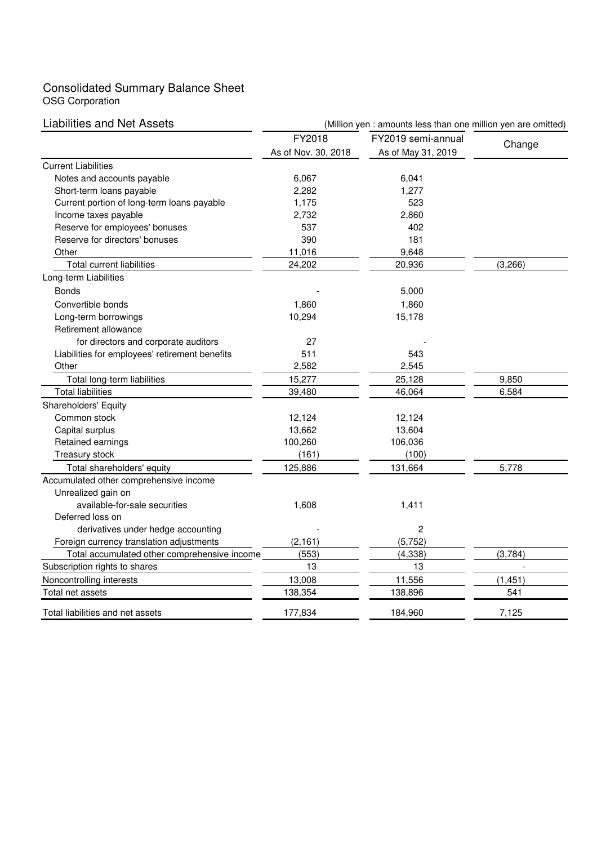# Consolidated Summary Balance Sheet OSG Corporation

| <b>Liabilities and Net Assets</b>              | (Million yen : amounts less than one million yen are omitted) |                    |          |  |  |  |  |
|------------------------------------------------|---------------------------------------------------------------|--------------------|----------|--|--|--|--|
|                                                | FY2018                                                        | FY2019 semi-annual | Change   |  |  |  |  |
|                                                | As of Nov. 30, 2018                                           | As of May 31, 2019 |          |  |  |  |  |
| <b>Current Liabilities</b>                     |                                                               |                    |          |  |  |  |  |
| Notes and accounts payable                     | 6,067                                                         | 6,041              |          |  |  |  |  |
| Short-term loans payable                       | 2,282                                                         | 1,277              |          |  |  |  |  |
| Current portion of long-term loans payable     | 1,175                                                         | 523                |          |  |  |  |  |
| Income taxes payable                           | 2,732                                                         | 2,860              |          |  |  |  |  |
| Reserve for employees' bonuses                 | 537                                                           | 402                |          |  |  |  |  |
| Reserve for directors' bonuses                 | 390                                                           | 181                |          |  |  |  |  |
| Other                                          | 11,016                                                        | 9,648              |          |  |  |  |  |
| Total current liabilities                      | 24,202                                                        | 20,936             | (3,266)  |  |  |  |  |
| Long-term Liabilities                          |                                                               |                    |          |  |  |  |  |
| <b>Bonds</b>                                   |                                                               | 5,000              |          |  |  |  |  |
| Convertible bonds                              | 1,860                                                         | 1,860              |          |  |  |  |  |
| Long-term borrowings                           | 10,294                                                        | 15,178             |          |  |  |  |  |
| Retirement allowance                           |                                                               |                    |          |  |  |  |  |
| for directors and corporate auditors           | 27                                                            |                    |          |  |  |  |  |
| Liabilities for employees' retirement benefits | 511                                                           | 543                |          |  |  |  |  |
| Other                                          | 2,582                                                         | 2,545              |          |  |  |  |  |
| Total long-term liabilities                    | 15,277                                                        | 25,128             | 9,850    |  |  |  |  |
| <b>Total liabilities</b>                       | 39,480                                                        | 46,064             | 6,584    |  |  |  |  |
| Shareholders' Equity                           |                                                               |                    |          |  |  |  |  |
| Common stock                                   | 12,124                                                        | 12,124             |          |  |  |  |  |
| Capital surplus                                | 13,662                                                        | 13,604             |          |  |  |  |  |
| Retained earnings                              | 100,260                                                       | 106,036            |          |  |  |  |  |
| Treasury stock                                 | (161)                                                         | (100)              |          |  |  |  |  |
| Total shareholders' equity                     | 125,886                                                       | 131,664            | 5,778    |  |  |  |  |
| Accumulated other comprehensive income         |                                                               |                    |          |  |  |  |  |
| Unrealized gain on                             |                                                               |                    |          |  |  |  |  |
| available-for-sale securities                  | 1,608                                                         | 1,411              |          |  |  |  |  |
| Deferred loss on                               |                                                               |                    |          |  |  |  |  |
| derivatives under hedge accounting             |                                                               | 2                  |          |  |  |  |  |
| Foreign currency translation adjustments       | (2, 161)                                                      | (5, 752)           |          |  |  |  |  |
| Total accumulated other comprehensive income   | (553)                                                         | (4, 338)           | (3,784)  |  |  |  |  |
| Subscription rights to shares                  | 13                                                            | 13                 |          |  |  |  |  |
| Noncontrolling interests                       | 13,008                                                        | 11,556             | (1, 451) |  |  |  |  |
| Total net assets                               | 138,354                                                       | 138,896            | 541      |  |  |  |  |
| Total liabilities and net assets               | 177,834                                                       | 184,960            | 7,125    |  |  |  |  |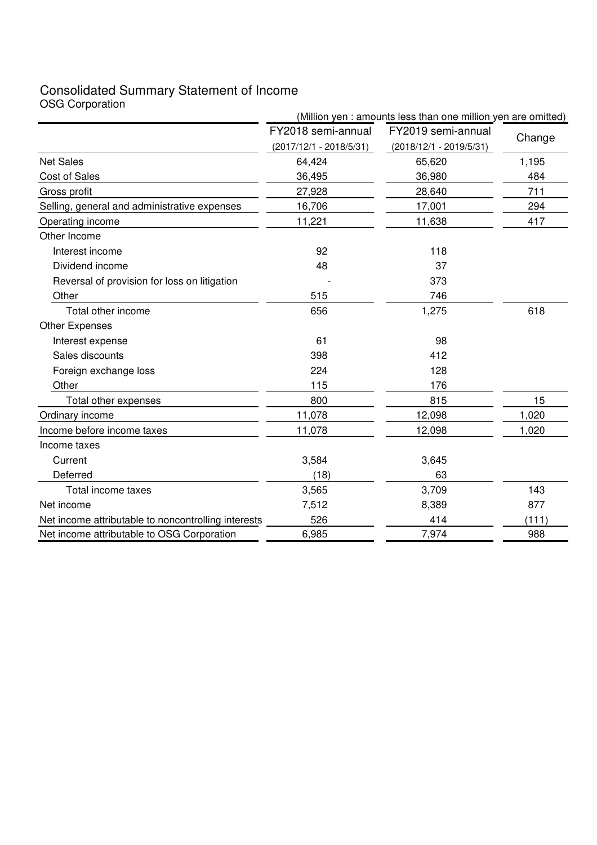# Consolidated Summary Statement of Income OSG Corporation

| UUU UUI PUI AIIUI I                                 | (Million yen : amounts less than one million yen are omitted) |                           |        |  |  |  |  |
|-----------------------------------------------------|---------------------------------------------------------------|---------------------------|--------|--|--|--|--|
|                                                     | FY2018 semi-annual                                            | FY2019 semi-annual        |        |  |  |  |  |
|                                                     | (2017/12/1 - 2018/5/31)                                       | $(2018/12/1 - 2019/5/31)$ | Change |  |  |  |  |
| <b>Net Sales</b>                                    | 64,424                                                        | 65,620                    | 1,195  |  |  |  |  |
| <b>Cost of Sales</b>                                | 36,495                                                        | 36,980                    | 484    |  |  |  |  |
| Gross profit                                        | 27,928                                                        | 28,640                    | 711    |  |  |  |  |
| Selling, general and administrative expenses        | 16,706                                                        | 17,001                    | 294    |  |  |  |  |
| Operating income                                    | 11,221                                                        | 11,638                    | 417    |  |  |  |  |
| Other Income                                        |                                                               |                           |        |  |  |  |  |
| Interest income                                     | 92                                                            | 118                       |        |  |  |  |  |
| Dividend income                                     | 48                                                            | 37                        |        |  |  |  |  |
| Reversal of provision for loss on litigation        |                                                               | 373                       |        |  |  |  |  |
| Other                                               | 515                                                           | 746                       |        |  |  |  |  |
| Total other income                                  | 656                                                           | 1,275                     | 618    |  |  |  |  |
| <b>Other Expenses</b>                               |                                                               |                           |        |  |  |  |  |
| Interest expense                                    | 61                                                            | 98                        |        |  |  |  |  |
| Sales discounts                                     | 398                                                           | 412                       |        |  |  |  |  |
| Foreign exchange loss                               | 224                                                           | 128                       |        |  |  |  |  |
| Other                                               | 115                                                           | 176                       |        |  |  |  |  |
| Total other expenses                                | 800                                                           | 815                       | 15     |  |  |  |  |
| Ordinary income                                     | 11,078                                                        | 12,098                    | 1,020  |  |  |  |  |
| Income before income taxes                          | 11,078                                                        | 12,098                    | 1,020  |  |  |  |  |
| Income taxes                                        |                                                               |                           |        |  |  |  |  |
| Current                                             | 3,584                                                         | 3,645                     |        |  |  |  |  |
| Deferred                                            | (18)                                                          | 63                        |        |  |  |  |  |
| Total income taxes                                  | 3,565                                                         | 3,709                     | 143    |  |  |  |  |
| Net income                                          | 7,512                                                         | 8,389                     | 877    |  |  |  |  |
| Net income attributable to noncontrolling interests | 526                                                           | 414                       | (111)  |  |  |  |  |
| Net income attributable to OSG Corporation          | 6,985                                                         | 7,974                     | 988    |  |  |  |  |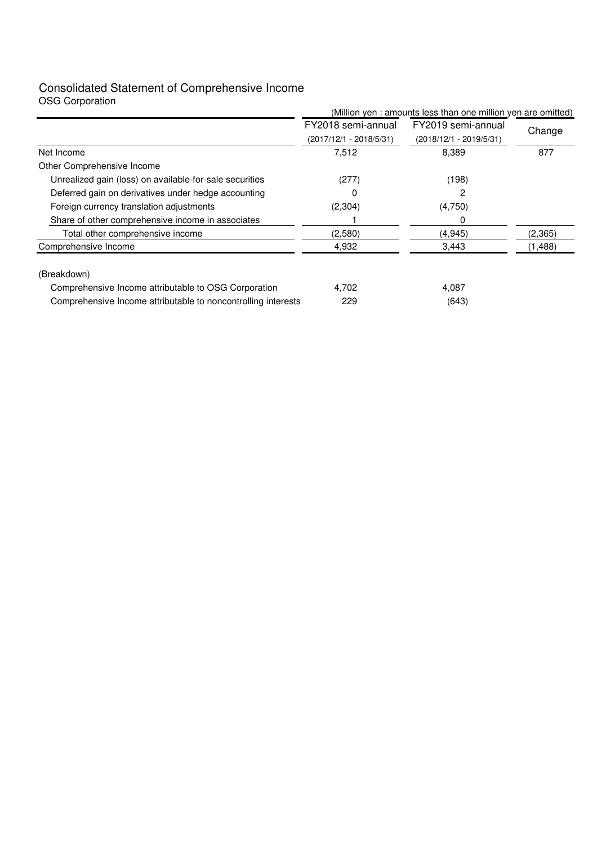# Consolidated Statement of Comprehensive Income

| <b>OSG Corporation</b>                                        |                         |                                                               |          |
|---------------------------------------------------------------|-------------------------|---------------------------------------------------------------|----------|
|                                                               |                         | (Million yen : amounts less than one million yen are omitted) |          |
|                                                               | FY2018 semi-annual      | FY2019 semi-annual                                            | Change   |
|                                                               | (2017/12/1 - 2018/5/31) | (2018/12/1 - 2019/5/31)                                       |          |
| Net Income                                                    | 7,512                   | 8,389                                                         | 877      |
| Other Comprehensive Income                                    |                         |                                                               |          |
| Unrealized gain (loss) on available-for-sale securities       | (277)                   | (198)                                                         |          |
| Deferred gain on derivatives under hedge accounting           | 0                       | 2                                                             |          |
| Foreign currency translation adjustments                      | (2,304)                 | (4,750)                                                       |          |
| Share of other comprehensive income in associates             |                         | 0                                                             |          |
| Total other comprehensive income                              | (2,580)                 | (4,945)                                                       | (2,365)  |
| Comprehensive Income                                          | 4,932                   | 3,443                                                         | (1, 488) |
| (Breakdown)                                                   |                         |                                                               |          |
| Comprehensive Income attributable to OSG Corporation          | 4,702                   | 4,087                                                         |          |
| Comprehensive Income attributable to noncontrolling interests | 229                     | (643)                                                         |          |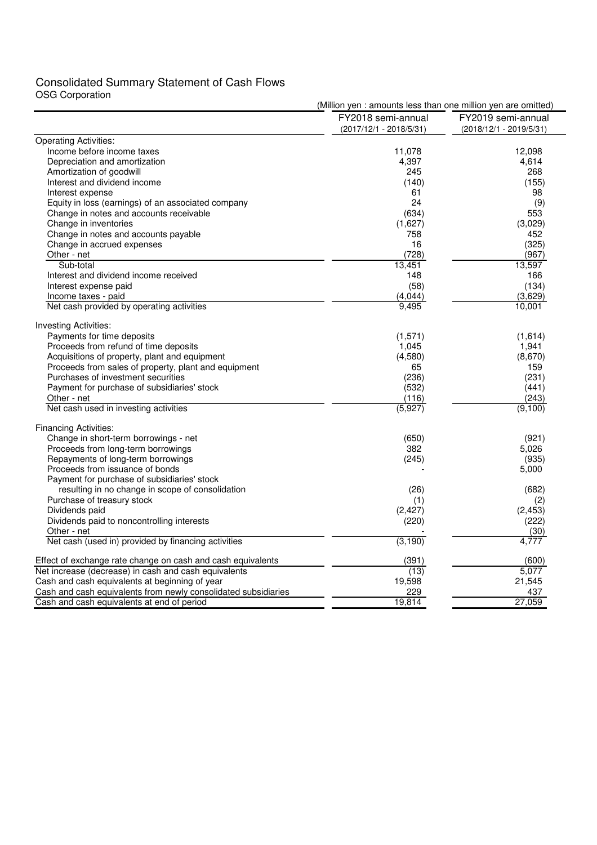#### Consolidated Summary Statement of Cash Flows OSG Corporation

|                                                                | (Million yen : amounts less than one million yen are omitted) |                         |
|----------------------------------------------------------------|---------------------------------------------------------------|-------------------------|
|                                                                | FY2018 semi-annual                                            | FY2019 semi-annual      |
|                                                                | (2017/12/1 - 2018/5/31)                                       | (2018/12/1 - 2019/5/31) |
| <b>Operating Activities:</b>                                   |                                                               |                         |
| Income before income taxes                                     | 11,078                                                        | 12,098                  |
| Depreciation and amortization                                  | 4,397                                                         | 4,614                   |
| Amortization of goodwill                                       | 245                                                           | 268                     |
| Interest and dividend income                                   | (140)                                                         | (155)                   |
| Interest expense                                               | 61                                                            | 98                      |
| Equity in loss (earnings) of an associated company             | 24                                                            | (9)                     |
| Change in notes and accounts receivable                        | (634)                                                         | 553                     |
| Change in inventories                                          | (1,627)                                                       | (3,029)                 |
| Change in notes and accounts payable                           | 758                                                           | 452                     |
| Change in accrued expenses                                     | 16                                                            | (325)                   |
| Other - net                                                    | (728)                                                         | (967)                   |
| Sub-total                                                      | 13,451                                                        | 13,597                  |
| Interest and dividend income received                          | 148                                                           | 166                     |
| Interest expense paid                                          | (58)                                                          | (134)                   |
| Income taxes - paid                                            | (4,044)                                                       | (3,629)                 |
| Net cash provided by operating activities                      | 9,495                                                         | 10,001                  |
|                                                                |                                                               |                         |
| <b>Investing Activities:</b>                                   |                                                               |                         |
| Payments for time deposits                                     | (1,571)                                                       | (1,614)                 |
| Proceeds from refund of time deposits                          | 1,045                                                         | 1,941                   |
| Acquisitions of property, plant and equipment                  | (4,580)                                                       | (8,670)                 |
| Proceeds from sales of property, plant and equipment           | 65                                                            | 159                     |
| Purchases of investment securities                             | (236)                                                         | (231)                   |
| Payment for purchase of subsidiaries' stock                    | (532)                                                         | (441)                   |
| Other - net                                                    | (116)                                                         | (243)                   |
| Net cash used in investing activities                          | (5,927)                                                       | (9,100)                 |
| <b>Financing Activities:</b>                                   |                                                               |                         |
| Change in short-term borrowings - net                          | (650)                                                         | (921)                   |
| Proceeds from long-term borrowings                             | 382                                                           | 5,026                   |
| Repayments of long-term borrowings                             | (245)                                                         | (935)                   |
| Proceeds from issuance of bonds                                |                                                               | 5,000                   |
| Payment for purchase of subsidiaries' stock                    |                                                               |                         |
| resulting in no change in scope of consolidation               | (26)                                                          | (682)                   |
| Purchase of treasury stock                                     | (1)                                                           | (2)                     |
| Dividends paid                                                 | (2, 427)                                                      | (2, 453)                |
| Dividends paid to noncontrolling interests                     | (220)                                                         | (222)                   |
| Other - net                                                    |                                                               | (30)                    |
| Net cash (used in) provided by financing activities            | (3, 190)                                                      | 4,777                   |
|                                                                |                                                               |                         |
| Effect of exchange rate change on cash and cash equivalents    | (391)                                                         | (600)                   |
| Net increase (decrease) in cash and cash equivalents           | (13)                                                          | 5,077                   |
| Cash and cash equivalents at beginning of year                 | 19,598                                                        | 21,545                  |
| Cash and cash equivalents from newly consolidated subsidiaries | 229                                                           | 437                     |
| Cash and cash equivalents at end of period                     | 19,814                                                        | 27,059                  |